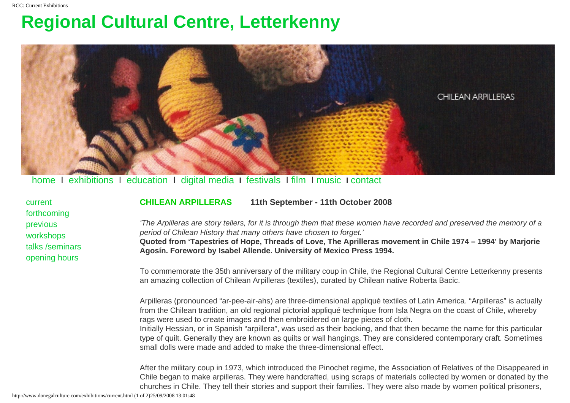## <span id="page-0-0"></span>**Regional Cultural Centre, Letterkenny**



[home](http://www.donegalculture.com/index.html) I [exhibitions](http://www.donegalculture.com/exhibitions/exhibitionshome.html) I [education](http://www.donegalculture.com/education/education.html) I [digital media](http://www.donegalculture.com/digitalmedia/digitalmedia.html) **I** [festivals](http://www.donegalculture.com/festivals/festivals.html) I [film](http://www.donegalculture.com/film/film.html) I [music](http://www.donegalculture.com/music/concerts.html) **I** [contact](http://www.donegalculture.com/general/contact.html)

| current         |
|-----------------|
| forthcoming     |
| previous        |
| workshops       |
| talks /seminars |
| opening hours   |

**CHILEAN ARPILLERAS 11th September - 11th October 2008**

'The Arpilleras are story tellers, for it is through them that these women have recorded and preserved the memory of a period of Chilean History that many others have chosen to forget.' **Quoted from 'Tapestries of Hope, Threads of Love, The Aprilleras movement in Chile 1974 – 1994' by Marjorie** 

**Agosín. Foreword by Isabel Allende. University of Mexico Press 1994.** 

To commemorate the 35th anniversary of the military coup in Chile, the Regional Cultural Centre Letterkenny presents an amazing collection of Chilean Arpilleras (textiles), curated by Chilean native Roberta Bacic.

Arpilleras (pronounced "ar-pee-air-ahs) are three-dimensional appliqué textiles of Latin America. "Arpilleras" is actually from the Chilean tradition, an old regional pictorial appliqué technique from Isla Negra on the coast of Chile, whereby rags were used to create images and then embroidered on large pieces of cloth.

Initially Hessian, or in Spanish "arpillera", was used as their backing, and that then became the name for this particular type of quilt. Generally they are known as quilts or wall hangings. They are considered contemporary craft. Sometimes small dolls were made and added to make the three-dimensional effect.

After the military coup in 1973, which introduced the Pinochet regime, the Association of Relatives of the Disappeared in Chile began to make arpilleras. They were handcrafted, using scraps of materials collected by women or donated by the churches in Chile. They tell their stories and support their families. They were also made by women political prisoners,